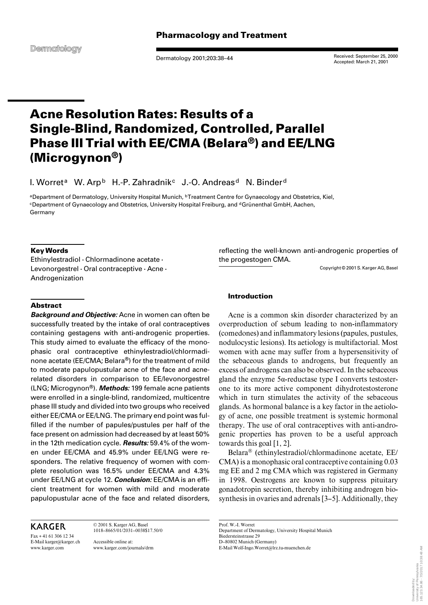Dermatology 2001;203:38–44

Received: September 25, 2000 Accepted: March 21, 2001

# **Acne Resolution Rates: Results of a Single-Blind, Randomized, Controlled, Parallel Phase III Trial with EE/CMA (Belara®) and EE/LNG (Microgynon®)**

I. Worret<sup>a</sup> W. Arp<sup>b</sup> H.-P. Zahradnik<sup>c</sup> J.-O. Andreas<sup>d</sup> N. Binder<sup>d</sup>

aDepartment of Dermatology, University Hospital Munich, **bTreatment Centre for Gynaecology and Obstetrics**, Kiel, <sup>c</sup>Department of Gynaecology and Obstetrics, University Hospital Freiburg, and <sup>d</sup>Grünenthal GmbH, Aachen, Germany

# **Key Words**

Ethinylestradiol  $\cdot$  Chlormadinone acetate  $\cdot$ Levonorgestrel  $\cdot$  Oral contraceptive  $\cdot$  Acne  $\cdot$ Androgenization

# **Abstract**

*Background and Objective:* Acne in women can often be successfully treated by the intake of oral contraceptives containing gestagens with anti-androgenic properties. This study aimed to evaluate the efficacy of the monophasic oral contraceptive ethinylestradiol/chlormadinone acetate (EE/CMA; Belara®) for the treatment of mild to moderate papulopustular acne of the face and acnerelated disorders in comparison to EE/levonorgestrel (LNG; Microgynon®). *Methods:* 199 female acne patients were enrolled in a single-blind, randomized, multicentre phase III study and divided into two groups who received either EE/CMA or EE/LNG. The primary end point was fulfilled if the number of papules/pustules per half of the face present on admission had decreased by at least 50% in the 12th medication cycle. *Results:* 59.4% of the women under EE/CMA and 45.9% under EE/LNG were responders. The relative frequency of women with complete resolution was 16.5% under EE/CMA and 4.3% under EE/LNG at cycle 12. *Conclusion:* EE/CMA is an efficient treatment for women with mild and moderate papulopustular acne of the face and related disorders,

# **KARGER**

Fax + 41 61 306 12 34 E-Mail karger@karger.ch www.karger.com

1018–8665/01/2031–0038\$17.50/0 Accessible online at: www.karger.com/journals/drm

© 2001 S. Karger AG, Basel

reflecting the well-known anti-androgenic properties of the progestogen CMA.

Copyright © 2001 S. Karger AG, Basel

## **Introduction**

Acne is a common skin disorder characterized by an overproduction of sebum leading to non-inflammatory (comedones) and inflammatory lesions (papules, pustules, nodulocystic lesions). Its aetiology is multifactorial. Most women with acne may suffer from a hypersensitivity of the sebaceous glands to androgens, but frequently an excess of androgens can also be observed. In the sebaceous gland the enzyme  $5\alpha$ -reductase type I converts testosterone to its more active component dihydrotestosterone which in turn stimulates the activity of the sebaceous glands. As hormonal balance is a key factor in the aetiology of acne, one possible treatment is systemic hormonal therapy. The use of oral contraceptives with anti-androgenic properties has proven to be a useful approach towards this goal [1, 2].

Belara® (ethinylestradiol/chlormadinone acetate, EE/ CMA) is a monophasic oral contraceptive containing 0.03 mg EE and 2 mg CMA which was registered in Germany in 1998. Oestrogens are known to suppress pituitary gonadotropin secretion, thereby inhibiting androgen biosynthesis in ovaries and adrenals [3–5]. Additionally, they

Prof. W.-I. Worret Department of Dermatology, University Hospital Munich Biedersteinstrasse 29 D–80802 Munich (Germany) E-Mail Wolf-Ingo.Worret@lrz.tu-muenchen.de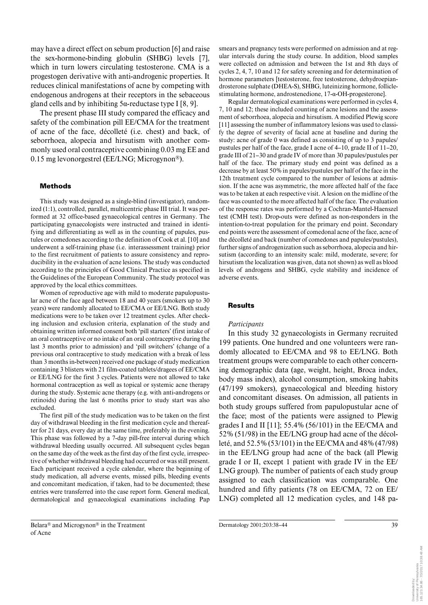may have a direct effect on sebum production [6] and raise the sex-hormone-binding globulin (SHBG) levels [7], which in turn lowers circulating testosterone. CMA is a progestogen derivative with anti-androgenic properties. It reduces clinical manifestations of acne by competing with endogenous androgens at their receptors in the sebaceous gland cells and by inhibiting  $5\alpha$ -reductase type I [8, 9].

The present phase III study compared the efficacy and safety of the combination pill EE/CMA for the treatment of acne of the face, décolleté (i.e. chest) and back, of seborrhoea, alopecia and hirsutism with another commonly used oral contraceptive combining 0.03 mg EE and 0.15 mg levonorgestrel (EE/LNG; Microgynon®).

#### **Methods**

This study was designed as a single-blind (investigator), randomized (1:1), controlled, parallel, multicentric phase III trial. It was performed at 32 office-based gynaecological centres in Germany. The participating gynaecologists were instructed and trained in identifying and differentiating as well as in the counting of papules, pustules or comedones according to the definition of Cook et al. [10] and underwent a self-training phase (i.e. interassessment training) prior to the first recruitment of patients to assure consistency and reproducibility in the evaluation of acne lesions. The study was conducted according to the principles of Good Clinical Practice as specified in the Guidelines of the European Community. The study protocol was approved by the local ethics committees.

Women of reproductive age with mild to moderate papulopustular acne of the face aged between 18 and 40 years (smokers up to 30 years) were randomly allocated to EE/CMA or EE/LNG. Both study medications were to be taken over 12 treatment cycles. After checking inclusion and exclusion criteria, explanation of the study and obtaining written informed consent both 'pill starters' (first intake of an oral contraceptive or no intake of an oral contraceptive during the last 3 months prior to admission) and 'pill switchers' (change of a previous oral contraceptive to study medication with a break of less than 3 months in-between) received one package of study medication containing 3 blisters with 21 film-coated tablets/dragees of EE/CMA or EE/LNG for the first 3 cycles. Patients were not allowed to take hormonal contraception as well as topical or systemic acne therapy during the study. Systemic acne therapy (e.g. with anti-androgens or retinoids) during the last 6 months prior to study start was also excluded.

The first pill of the study medication was to be taken on the first day of withdrawal bleeding in the first medication cycle and thereafter for 21 days, every day at the same time, preferably in the evening. This phase was followed by a 7-day pill-free interval during which withdrawal bleeding usually occurred. All subsequent cycles began on the same day of the week as the first day of the first cycle, irrespective of whether withdrawal bleeding had occurred or was still present. Each participant received a cycle calendar, where the beginning of study medication, all adverse events, missed pills, bleeding events and concomitant medication, if taken, had to be documented; these entries were transferred into the case report form. General medical, dermatological and gynaecological examinations including Pap

smears and pregnancy tests were performed on admission and at regular intervals during the study course. In addition, blood samples were collected on admission and between the 1st and 8th days of cycles 2, 4, 7, 10 and 12 for safety screening and for determination of hormone parameters [testosterone, free testosterone, dehydroepiandrosterone sulphate (DHEA-S), SHBG, luteinizing hormone, folliclestimulating hormone, androstenedione,  $17$ - $\alpha$ -OH-progesterone].

Regular dermatological examinations were performed in cycles 4, 7, 10 and 12; these included counting of acne lesions and the assessment of seborrhoea, alopecia and hirsutism. A modified Plewig score [11] assessing the number of inflammatory lesions was used to classify the degree of severity of facial acne at baseline and during the study: acne of grade 0 was defined as consisting of up to 3 papules/ pustules per half of the face, grade I acne of 4–10, grade II of 11–20, grade III of 21–30 and grade IV of more than 30 papules/pustules per half of the face. The primary study end point was defined as a decrease by at least 50% in papules/pustules per half of the face in the 12th treatment cycle compared to the number of lesions at admission. If the acne was asymmetric, the more affected half of the face was to be taken at each respective visit. A lesion on the midline of the face was counted to the more affected half of the face. The evaluation of the response rates was performed by a Cochran-Mantel-Haenszel test (CMH test). Drop-outs were defined as non-responders in the intention-to-treat population for the primary end point. Secondary end points were the assessment of comedonal acne of the face, acne of the décolleté and back (number of comedones and papules/pustules), further signs of androgenization such as seborrhoea, alopecia and hirsutism (according to an intensity scale: mild, moderate, severe; for hirsutism the localization was given, data not shown) as well as blood levels of androgens and SHBG, cycle stability and incidence of adverse events.

#### **Results**

#### *Participants*

In this study 32 gynaecologists in Germany recruited 199 patients. One hundred and one volunteers were randomly allocated to EE/CMA and 98 to EE/LNG. Both treatment groups were comparable to each other concerning demographic data (age, weight, height, Broca index, body mass index), alcohol consumption, smoking habits (47/199 smokers), gynaecological and bleeding history and concomitant diseases. On admission, all patients in both study groups suffered from papulopustular acne of the face; most of the patients were assigned to Plewig grades I and II [11]; 55.4% (56/101) in the EE/CMA and 52% (51/98) in the EE/LNG group had acne of the décolleté, and 52.5% (53/101) in the EE/CMA and 48% (47/98) in the EE/LNG group had acne of the back (all Plewig grade I or II, except 1 patient with grade IV in the EE/ LNG group). The number of patients of each study group assigned to each classification was comparable. One hundred and fifty patients (78 on EE/CMA, 72 on EE/ LNG) completed all 12 medication cycles, and 148 pa-

Belara® and Microgynon® in the Treatment of Acne

Dermatology 2001;203:38–44 39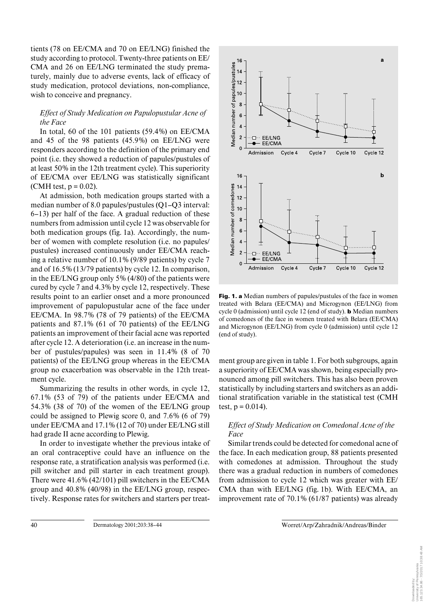tients (78 on EE/CMA and 70 on EE/LNG) finished the study according to protocol. Twenty-three patients on EE/ CMA and 26 on EE/LNG terminated the study prematurely, mainly due to adverse events, lack of efficacy of study medication, protocol deviations, non-compliance, wish to conceive and pregnancy.

# *Effect of Study Medication on Papulopustular Acne of the Face*

In total, 60 of the 101 patients (59.4%) on EE/CMA and 45 of the 98 patients (45.9%) on EE/LNG were responders according to the definition of the primary end point (i.e. they showed a reduction of papules/pustules of at least 50% in the 12th treatment cycle). This superiority of EE/CMA over EE/LNG was statistically significant (CMH test,  $p = 0.02$ ).

At admission, both medication groups started with a median number of 8.0 papules/pustules (Q1–Q3 interval: 6–13) per half of the face. A gradual reduction of these numbers from admission until cycle 12 was observable for both medication groups (fig. 1a). Accordingly, the number of women with complete resolution (i.e. no papules/ pustules) increased continuously under EE/CMA reaching a relative number of 10.1% (9/89 patients) by cycle 7 and of 16.5% (13/79 patients) by cycle 12. In comparison, in the EE/LNG group only 5% (4/80) of the patients were cured by cycle 7 and 4.3% by cycle 12, respectively. These results point to an earlier onset and a more pronounced improvement of papulopustular acne of the face under EE/CMA. In 98.7% (78 of 79 patients) of the EE/CMA patients and 87.1% (61 of 70 patients) of the EE/LNG patients an improvement of their facial acne was reported after cycle 12. A deterioration (i.e. an increase in the number of pustules/papules) was seen in 11.4% (8 of 70 patients) of the EE/LNG group whereas in the EE/CMA group no exacerbation was observable in the 12th treatment cycle.

Summarizing the results in other words, in cycle 12, 67.1% (53 of 79) of the patients under EE/CMA and 54.3% (38 of 70) of the women of the EE/LNG group could be assigned to Plewig score 0, and 7.6% (6 of 79) under EE/CMA and 17.1% (12 of 70) under EE/LNG still had grade II acne according to Plewig.

In order to investigate whether the previous intake of an oral contraceptive could have an influence on the response rate, a stratification analysis was performed (i.e. pill switcher and pill starter in each treatment group). There were 41.6% (42/101) pill switchers in the EE/CMA group and 40.8% (40/98) in the EE/LNG group, respectively. Response rates for switchers and starters per treat-



**Fig. 1. a** Median numbers of papules/pustules of the face in women treated with Belara (EE/CMA) and Microgynon (EE/LNG) from cycle 0 (admission) until cycle 12 (end of study). **b** Median numbers of comedones of the face in women treated with Belara (EE/CMA) and Microgynon (EE/LNG) from cycle 0 (admission) until cycle 12 (end of study).

ment group are given in table 1. For both subgroups, again a superiority of EE/CMA was shown, being especially pronounced among pill switchers. This has also been proven statistically by including starters and switchers as an additional stratification variable in the statistical test (CMH test,  $p = 0.014$ ).

# *Effect of Study Medication on Comedonal Acne of the Face*

Similar trends could be detected for comedonal acne of the face. In each medication group, 88 patients presented with comedones at admission. Throughout the study there was a gradual reduction in numbers of comedones from admission to cycle 12 which was greater with EE/ CMA than with EE/LNG (fig. 1b). With EE/CMA, an improvement rate of 70.1% (61/87 patients) was already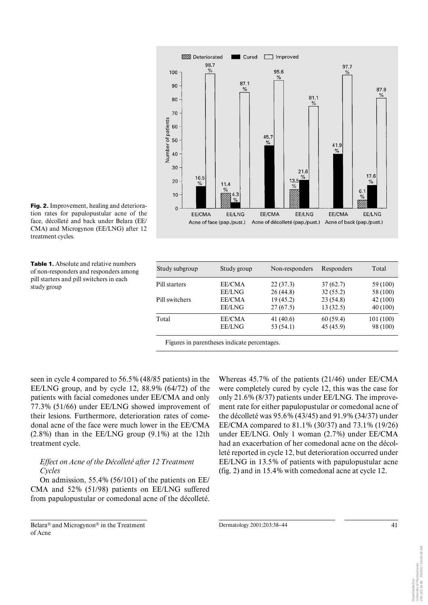

**Fig. 2.** Improvement, healing and deterioration rates for papulopustular acne of the face, décolleté and back under Belara (EE/ CMA) and Microgynon (EE/LNG) after 12 treatment cycles.

**Table 1.** Absolute and relative numbers of non-responders and responders among pill starters and pill switchers in each study group

| Study subgroup | Study group   | Non-responders | Responders | Total     |
|----------------|---------------|----------------|------------|-----------|
| Pill starters  | EE/CMA        | 22(37.3)       | 37(62.7)   | 59 (100)  |
|                | <b>EE/LNG</b> | 26(44.8)       | 32(55.2)   | 58 (100)  |
| Pill switchers | EE/CMA        | 19(45.2)       | 23 (54.8)  | 42 (100)  |
|                | <b>EE/LNG</b> | 27(67.5)       | 13(32.5)   | 40(100)   |
| Total          | EE/CMA        | 41 (40.6)      | 60(59.4)   | 101 (100) |
|                | <b>EE/LNG</b> | 53 (54.1)      | 45 (45.9)  | 98 (100)  |

Figures in parentheses indicate percentages.

seen in cycle 4 compared to 56.5% (48/85 patients) in the EE/LNG group, and by cycle 12, 88.9% (64/72) of the patients with facial comedones under EE/CMA and only 77.3% (51/66) under EE/LNG showed improvement of their lesions. Furthermore, deterioration rates of comedonal acne of the face were much lower in the EE/CMA (2.8%) than in the EE/LNG group (9.1%) at the 12th treatment cycle.

# *Effect on Acne of the Décolleté after 12 Treatment Cycles*

On admission, 55.4% (56/101) of the patients on EE/ CMA and 52% (51/98) patients on EE/LNG suffered from papulopustular or comedonal acne of the décolleté.

Belara® and Microgynon® in the Treatment of Acne

Whereas 45.7% of the patients (21/46) under EE/CMA were completely cured by cycle 12, this was the case for only 21.6% (8/37) patients under EE/LNG. The improvement rate for either papulopustular or comedonal acne of the décolleté was 95.6% (43/45) and 91.9% (34/37) under EE/CMA compared to 81.1% (30/37) and 73.1% (19/26) under EE/LNG. Only 1 woman (2.7%) under EE/CMA had an exacerbation of her comedonal acne on the décolleté reported in cycle 12, but deterioration occurred under EE/LNG in 13.5% of patients with papulopustular acne (fig. 2) and in 15.4% with comedonal acne at cycle 12.

Dermatology 2001:203:38-44 41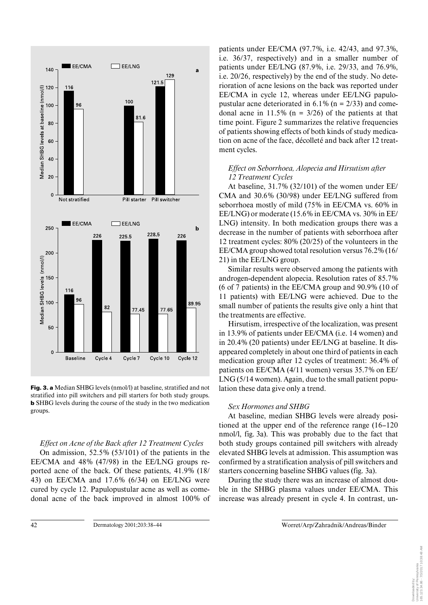

**Fig. 3. a** Median SHBG levels (nmol/l) at baseline, stratified and not stratified into pill switchers and pill starters for both study groups. **b** SHBG levels during the course of the study in the two medication groups.

# *Effect on Acne of the Back after 12 Treatment Cycles*

On admission, 52.5% (53/101) of the patients in the EE/CMA and 48% (47/98) in the EE/LNG groups reported acne of the back. Of these patients, 41.9% (18/ 43) on EE/CMA and 17.6% (6/34) on EE/LNG were cured by cycle 12. Papulopustular acne as well as comedonal acne of the back improved in almost 100% of patients under EE/CMA (97.7%, i.e. 42/43, and 97.3%, i.e. 36/37, respectively) and in a smaller number of patients under EE/LNG (87.9%, i.e. 29/33, and 76.9%, i.e. 20/26, respectively) by the end of the study. No deterioration of acne lesions on the back was reported under EE/CMA in cycle 12, whereas under EE/LNG papulopustular acne deteriorated in  $6.1\%$  (n = 2/33) and comedonal acne in  $11.5\%$  (n =  $3/26$ ) of the patients at that time point. Figure 2 summarizes the relative frequencies of patients showing effects of both kinds of study medication on acne of the face, décolleté and back after 12 treatment cycles.

# *Effect on Seborrhoea, Alopecia and Hirsutism after 12 Treatment Cycles*

At baseline, 31.7% (32/101) of the women under EE/ CMA and 30.6% (30/98) under EE/LNG suffered from seborrhoea mostly of mild (75% in EE/CMA vs. 60% in EE/LNG) or moderate (15.6% in EE/CMA vs. 30% in EE/ LNG) intensity. In both medication groups there was a decrease in the number of patients with seborrhoea after 12 treatment cycles: 80% (20/25) of the volunteers in the EE/CMA group showed total resolution versus 76.2% (16/ 21) in the EE/LNG group.

Similar results were observed among the patients with androgen-dependent alopecia. Resolution rates of 85.7% (6 of 7 patients) in the EE/CMA group and 90.9% (10 of 11 patients) with EE/LNG were achieved. Due to the small number of patients the results give only a hint that the treatments are effective.

Hirsutism, irrespective of the localization, was present in 13.9% of patients under EE/CMA (i.e. 14 women) and in 20.4% (20 patients) under EE/LNG at baseline. It disappeared completely in about one third of patients in each medication group after 12 cycles of treatment: 36.4% of patients on EE/CMA (4/11 women) versus 35.7% on EE/ LNG (5/14 women). Again, due to the small patient population these data give only a trend.

# *Sex Hormones and SHBG*

At baseline, median SHBG levels were already positioned at the upper end of the reference range (16–120 nmol/l, fig. 3a). This was probably due to the fact that both study groups contained pill switchers with already elevated SHBG levels at admission. This assumption was confirmed by a stratification analysis of pill switchers and starters concerning baseline SHBG values (fig. 3a).

During the study there was an increase of almost double in the SHBG plasma values under EE/CMA. This increase was already present in cycle 4. In contrast, un-

42 Dermatology 2001;203:38–44 Worret/Arp/Zahradnik/Andreas/Binder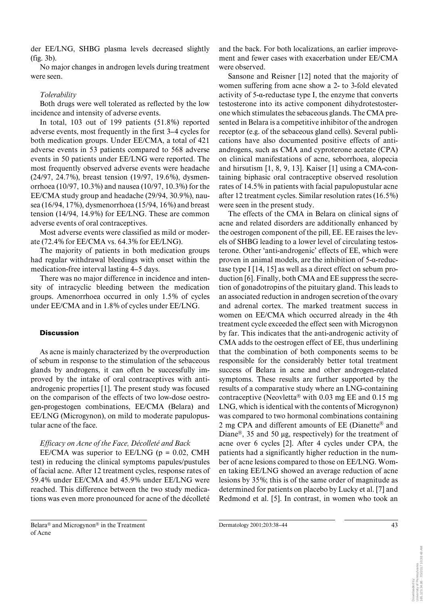der EE/LNG, SHBG plasma levels decreased slightly (fig. 3b).

No major changes in androgen levels during treatment were seen.

### *Tolerability*

Both drugs were well tolerated as reflected by the low incidence and intensity of adverse events.

In total, 103 out of 199 patients (51.8%) reported adverse events, most frequently in the first 3–4 cycles for both medication groups. Under EE/CMA, a total of 421 adverse events in 53 patients compared to 568 adverse events in 50 patients under EE/LNG were reported. The most frequently observed adverse events were headache (24/97, 24.7%), breast tension (19/97, 19.6%), dysmenorrhoea (10/97, 10.3%) and nausea (10/97, 10.3%) for the EE/CMA study group and headache (29/94, 30.9%), nausea (16/94, 17%), dysmenorrhoea (15/94, 16%) and breast tension (14/94, 14.9%) for EE/LNG. These are common adverse events of oral contraceptives.

Most adverse events were classified as mild or moderate (72.4% for EE/CMA vs. 64.3% for EE/LNG).

The majority of patients in both medication groups had regular withdrawal bleedings with onset within the medication-free interval lasting 4–5 days.

There was no major difference in incidence and intensity of intracyclic bleeding between the medication groups. Amenorrhoea occurred in only 1.5% of cycles under EE/CMA and in 1.8% of cycles under EE/LNG.

### **Discussion**

As acne is mainly characterized by the overproduction of sebum in response to the stimulation of the sebaceous glands by androgens, it can often be successfully improved by the intake of oral contraceptives with antiandrogenic properties [1]. The present study was focused on the comparison of the effects of two low-dose oestrogen-progestogen combinations, EE/CMA (Belara) and EE/LNG (Microgynon), on mild to moderate papulopustular acne of the face.

# *Efficacy on Acne of the Face, Décolleté and Back*

EE/CMA was superior to EE/LNG ( $p = 0.02$ , CMH test) in reducing the clinical symptoms papules/pustules of facial acne. After 12 treatment cycles, response rates of 59.4% under EE/CMA and 45.9% under EE/LNG were reached. This difference between the two study medications was even more pronounced for acne of the décolleté

Belara® and Microgynon® in the Treatment of Acne

and the back. For both localizations, an earlier improvement and fewer cases with exacerbation under EE/CMA were observed.

Sansone and Reisner [12] noted that the majority of women suffering from acne show a 2- to 3-fold elevated activity of  $5$ - $\alpha$ -reductase type I, the enzyme that converts testosterone into its active component dihydrotestosterone which stimulates the sebaceous glands. The CMA presented in Belara is a competitive inhibitor of the androgen receptor (e.g. of the sebaceous gland cells). Several publications have also documented positive effects of antiandrogens, such as CMA and cyproterone acetate (CPA) on clinical manifestations of acne, seborrhoea, alopecia and hirsutism [1, 8, 9, 13]. Kaiser [1] using a CMA-containing biphasic oral contraceptive observed resolution rates of 14.5% in patients with facial papulopustular acne after 12 treatment cycles. Similar resolution rates (16.5%) were seen in the present study.

The effects of the CMA in Belara on clinical signs of acne and related disorders are additionally enhanced by the oestrogen component of the pill, EE. EE raises the levels of SHBG leading to a lower level of circulating testosterone. Other 'anti-androgenic' effects of EE, which were proven in animal models, are the inhibition of  $5-\alpha$ -reductase type I [14, 15] as well as a direct effect on sebum production [6]. Finally, both CMA and EE suppress the secretion of gonadotropins of the pituitary gland. This leads to an associated reduction in androgen secretion of the ovary and adrenal cortex. The marked treatment success in women on EE/CMA which occurred already in the 4th treatment cycle exceeded the effect seen with Microgynon by far. This indicates that the anti-androgenic activity of CMA adds to the oestrogen effect of EE, thus underlining that the combination of both components seems to be responsible for the considerably better total treatment success of Belara in acne and other androgen-related symptoms. These results are further supported by the results of a comparative study where an LNG-containing contraceptive (Neovletta® with 0.03 mg EE and 0.15 mg LNG, which is identical with the contents of Microgynon) was compared to two hormonal combinations containing 2 mg CPA and different amounts of EE (Dianette® and Diane<sup>®</sup>, 35 and 50  $\mu$ g, respectively) for the treatment of acne over 6 cycles [2]. After 4 cycles under CPA, the patients had a significantly higher reduction in the number of acne lesions compared to those on EE/LNG. Women taking EE/LNG showed an average reduction of acne lesions by 35%; this is of the same order of magnitude as determined for patients on placebo by Lucky et al. [7] and Redmond et al. [5]. In contrast, in women who took an

Downloaded by:<br>University of Pennsylvania<br>165.123.34.86 - 7/3/2017 10:38:48 AM 165.123.34.86 - 7/3/2017 10:38:48 AMUniversity of Pennsylvania Downloaded by:

Dermatology 2001:203:38-44 43